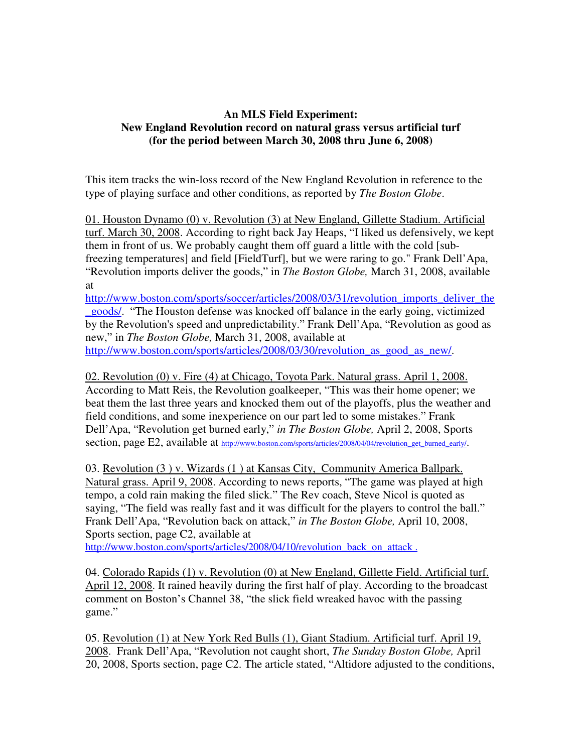## **An MLS Field Experiment: New England Revolution record on natural grass versus artificial turf (for the period between March 30, 2008 thru June 6, 2008)**

This item tracks the win-loss record of the New England Revolution in reference to the type of playing surface and other conditions, as reported by *The Boston Globe*.

01. Houston Dynamo (0) v. Revolution (3) at New England, Gillette Stadium. Artificial turf. March 30, 2008. According to right back Jay Heaps, "I liked us defensively, we kept them in front of us. We probably caught them off guard a little with the cold [subfreezing temperatures] and field [FieldTurf], but we were raring to go." Frank Dell'Apa, "Revolution imports deliver the goods," in *The Boston Globe,* March 31, 2008, available at

http://www.boston.com/sports/soccer/articles/2008/03/31/revolution\_imports\_deliver\_the \_goods/. "The Houston defense was knocked off balance in the early going, victimized by the Revolution's speed and unpredictability." Frank Dell'Apa, "Revolution as good as new," in *The Boston Globe,* March 31, 2008, available at http://www.boston.com/sports/articles/2008/03/30/revolution as good as new/.

02. Revolution (0) v. Fire (4) at Chicago, Toyota Park. Natural grass. April 1, 2008. According to Matt Reis, the Revolution goalkeeper, "This was their home opener; we beat them the last three years and knocked them out of the playoffs, plus the weather and field conditions, and some inexperience on our part led to some mistakes." Frank Dell'Apa, "Revolution get burned early," *in The Boston Globe,* April 2, 2008, Sports section, page E2, available at http://www.boston.com/sports/articles/2008/04/04/revolution\_get\_burned\_early/.

03. Revolution (3 ) v. Wizards (1 ) at Kansas City, Community America Ballpark. Natural grass. April 9, 2008. According to news reports, "The game was played at high tempo, a cold rain making the filed slick." The Rev coach, Steve Nicol is quoted as saying, "The field was really fast and it was difficult for the players to control the ball." Frank Dell'Apa, "Revolution back on attack," *in The Boston Globe,* April 10, 2008, Sports section, page C2, available at

http://www.boston.com/sports/articles/2008/04/10/revolution\_back\_on\_attack.

04. Colorado Rapids (1) v. Revolution (0) at New England, Gillette Field. Artificial turf. April 12, 2008. It rained heavily during the first half of play. According to the broadcast comment on Boston's Channel 38, "the slick field wreaked havoc with the passing game."

05. Revolution (1) at New York Red Bulls (1), Giant Stadium. Artificial turf. April 19, 2008. Frank Dell'Apa, "Revolution not caught short, *The Sunday Boston Globe,* April 20, 2008, Sports section, page C2. The article stated, "Altidore adjusted to the conditions,